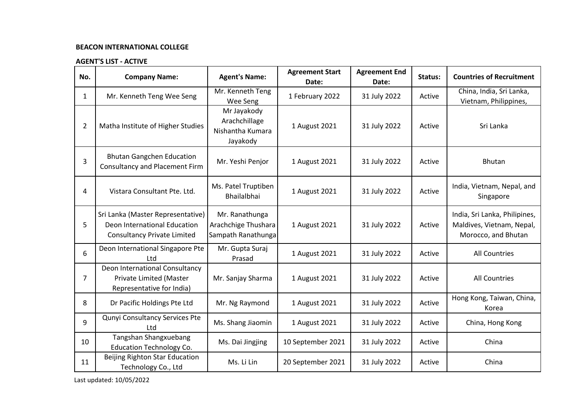## **BEACON INTERNATIONAL COLLEGE**

## **AGENT'S LIST - ACTIVE**

| No.            | <b>Company Name:</b>                                                                                    | <b>Agent's Name:</b>                                         | <b>Agreement Start</b><br>Date: | <b>Agreement End</b><br>Date: | Status: | <b>Countries of Recruitment</b>                                                   |
|----------------|---------------------------------------------------------------------------------------------------------|--------------------------------------------------------------|---------------------------------|-------------------------------|---------|-----------------------------------------------------------------------------------|
| $\mathbf{1}$   | Mr. Kenneth Teng Wee Seng                                                                               | Mr. Kenneth Teng<br>Wee Seng                                 | 1 February 2022                 | 31 July 2022                  | Active  | China, India, Sri Lanka,<br>Vietnam, Philippines,                                 |
| $\overline{2}$ | Matha Institute of Higher Studies                                                                       | Mr Jayakody<br>Arachchillage<br>Nishantha Kumara<br>Jayakody | 1 August 2021                   | 31 July 2022                  | Active  | Sri Lanka                                                                         |
| 3              | <b>Bhutan Gangchen Education</b><br><b>Consultancy and Placement Firm</b>                               | Mr. Yeshi Penjor                                             | 1 August 2021                   | 31 July 2022                  | Active  | <b>Bhutan</b>                                                                     |
| 4              | Vistara Consultant Pte. Ltd.                                                                            | Ms. Patel Truptiben<br>Bhailalbhai                           | 1 August 2021                   | 31 July 2022                  | Active  | India, Vietnam, Nepal, and<br>Singapore                                           |
| 5              | Sri Lanka (Master Representative)<br>Deon International Education<br><b>Consultancy Private Limited</b> | Mr. Ranathunga<br>Arachchige Thushara<br>Sampath Ranathunga  | 1 August 2021                   | 31 July 2022                  | Active  | India, Sri Lanka, Philipines,<br>Maldives, Vietnam, Nepal,<br>Morocco, and Bhutan |
| 6              | Deon International Singapore Pte<br>Ltd                                                                 | Mr. Gupta Suraj<br>Prasad                                    | 1 August 2021                   | 31 July 2022                  | Active  | <b>All Countries</b>                                                              |
| $\overline{7}$ | Deon International Consultancy<br>Private Limited (Master<br>Representative for India)                  | Mr. Sanjay Sharma                                            | 1 August 2021                   | 31 July 2022                  | Active  | <b>All Countries</b>                                                              |
| 8              | Dr Pacific Holdings Pte Ltd                                                                             | Mr. Ng Raymond                                               | 1 August 2021                   | 31 July 2022                  | Active  | Hong Kong, Taiwan, China,<br>Korea                                                |
| 9              | Qunyi Consultancy Services Pte<br>Ltd                                                                   | Ms. Shang Jiaomin                                            | 1 August 2021                   | 31 July 2022                  | Active  | China, Hong Kong                                                                  |
| 10             | Tangshan Shangxuebang<br><b>Education Technology Co.</b>                                                | Ms. Dai Jingjing                                             | 10 September 2021               | 31 July 2022                  | Active  | China                                                                             |
| 11             | Beijing Righton Star Education<br>Technology Co., Ltd                                                   | Ms. Li Lin                                                   | 20 September 2021               | 31 July 2022                  | Active  | China                                                                             |

Last updated: 10/05/2022